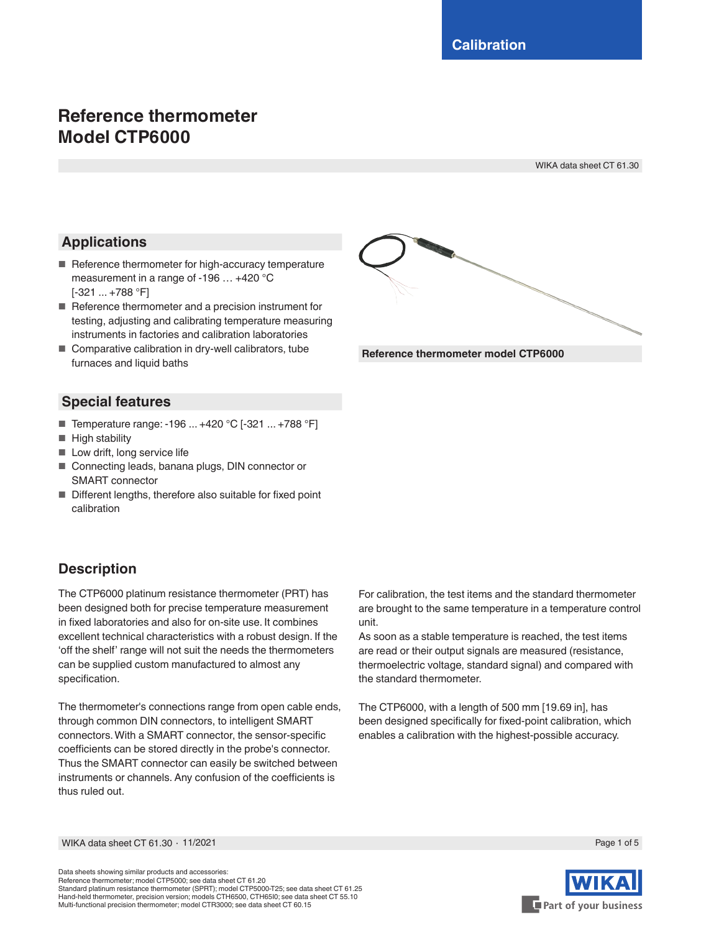# **Reference thermometer Model CTP6000**

WIKA data sheet CT 61.30

## **Applications**

- Reference thermometer for high-accuracy temperature measurement in a range of -196 … +420 °C [-321 ... +788 °F]
- Reference thermometer and a precision instrument for testing, adjusting and calibrating temperature measuring instruments in factories and calibration laboratories
- Comparative calibration in dry-well calibrators, tube furnaces and liquid baths

### **Special features**

- Temperature range: -196 ... +420 °C [-321 ... +788 °F]
- High stability
- Low drift, long service life
- Connecting leads, banana plugs, DIN connector or SMART connector
- Different lengths, therefore also suitable for fixed point calibration

## **Description**

The CTP6000 platinum resistance thermometer (PRT) has been designed both for precise temperature measurement in fixed laboratories and also for on-site use. It combines excellent technical characteristics with a robust design. If the 'off the shelf' range will not suit the needs the thermometers can be supplied custom manufactured to almost any specification.

The thermometer's connections range from open cable ends, through common DIN connectors, to intelligent SMART connectors. With a SMART connector, the sensor-specific coefficients can be stored directly in the probe's connector. Thus the SMART connector can easily be switched between instruments or channels. Any confusion of the coefficients is thus ruled out.



As soon as a stable temperature is reached, the test items are read or their output signals are measured (resistance, thermoelectric voltage, standard signal) and compared with the standard thermometer.

The CTP6000, with a length of 500 mm [19.69 in], has been designed specifically for fixed-point calibration, which enables a calibration with the highest-possible accuracy.



Data sheets showing similar products and accessories: Reference thermometer; model CTP5000; see data sheet CT 61.20 Standard platinum resistance thermometer (SPRT); model CTP5000-T25; see data sheet CT 61.25 Hand-held thermometer, precision version; models CTH6500, CTH65I0; see data sheet CT 55.10 Multi-functional precision thermometer; model CTR3000; see data sheet CT 60.15



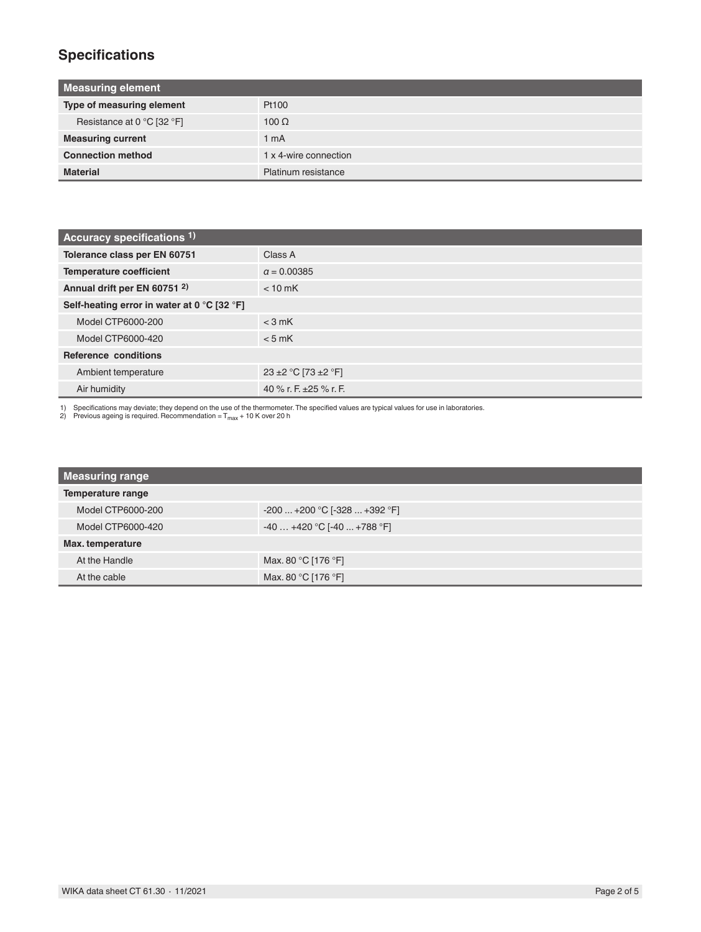# **Specifications**

| <b>Measuring element</b>   |                       |  |
|----------------------------|-----------------------|--|
| Type of measuring element  | Pt100                 |  |
| Resistance at 0 °C [32 °F] | $100 \Omega$          |  |
| <b>Measuring current</b>   | 1 <sub>m</sub> A      |  |
| <b>Connection method</b>   | 1 x 4-wire connection |  |
| <b>Material</b>            | Platinum resistance   |  |

| Accuracy specifications 1)                  |                         |  |
|---------------------------------------------|-------------------------|--|
| Tolerance class per EN 60751                | Class A                 |  |
| <b>Temperature coefficient</b>              | $a = 0.00385$           |  |
| Annual drift per EN 60751 2)                | $< 10$ mK               |  |
| Self-heating error in water at 0 °C [32 °F] |                         |  |
| Model CTP6000-200                           | $<$ 3 mK                |  |
| Model CTP6000-420                           | $< 5$ mK                |  |
| Reference conditions                        |                         |  |
| Ambient temperature                         | 23 ± 2 ° C [73 ± 2 ° F] |  |
| Air humidity                                | 40 % r. F. ±25 % r. F.  |  |

1) Specifications may deviate; they depend on the use of the thermometer. The specified values are typical values for use in laboratories.<br>2) Previous ageing is required. Recommendation = T<sub>max</sub> + 10 K over 20 h

| <b>Measuring range</b> |                                |
|------------------------|--------------------------------|
| Temperature range      |                                |
| Model CTP6000-200      | $-200+200$ °C [ $-328+392$ °F] |
| Model CTP6000-420      | $-40+420$ °C [-40  +788 °F]    |
| Max. temperature       |                                |
| At the Handle          | Max. 80 °C [176 °F]            |
| At the cable           | Max. 80 °C [176 °F]            |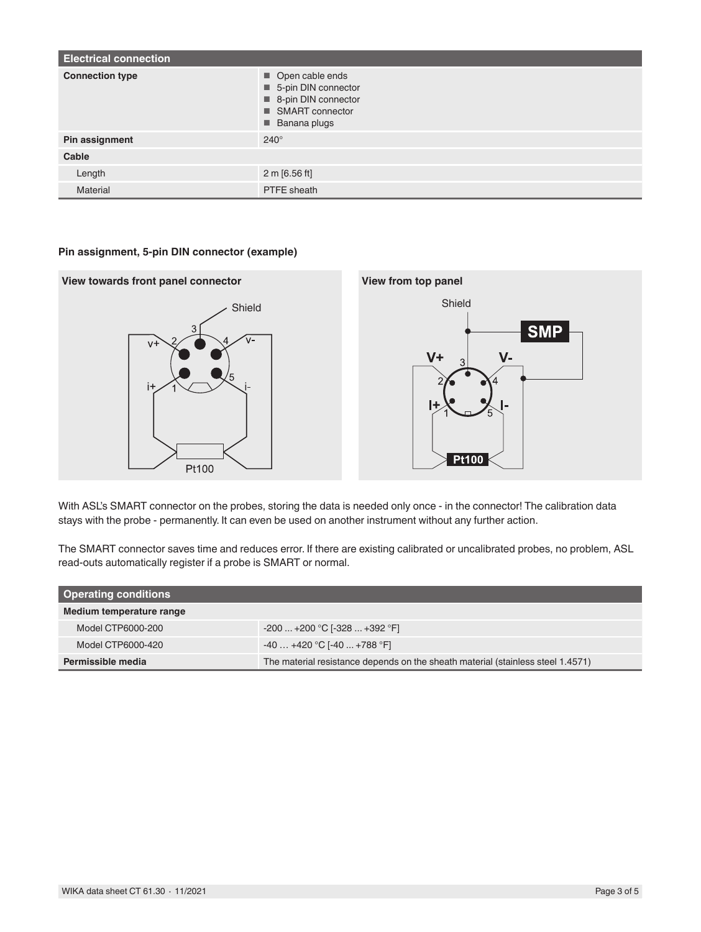| <b>Electrical connection</b> |                                                                                                                   |  |
|------------------------------|-------------------------------------------------------------------------------------------------------------------|--|
| <b>Connection type</b>       | Open cable ends<br>5-pin DIN connector<br>8-pin DIN connector<br>■ SMART connector<br>$\blacksquare$ Banana plugs |  |
| Pin assignment               | $240^\circ$                                                                                                       |  |
| Cable                        |                                                                                                                   |  |
| Length                       | $2 \text{ m}$ [6.56 ft]                                                                                           |  |
| <b>Material</b>              | PTFE sheath                                                                                                       |  |

#### **Pin assignment, 5-pin DIN connector (example)**



With ASL's SMART connector on the probes, storing the data is needed only once - in the connector! The calibration data stays with the probe - permanently. It can even be used on another instrument without any further action.

The SMART connector saves time and reduces error. If there are existing calibrated or uncalibrated probes, no problem, ASL read-outs automatically register if a probe is SMART or normal.

| <b>Operating conditions</b> |                                                                                 |  |
|-----------------------------|---------------------------------------------------------------------------------|--|
| Medium temperature range    |                                                                                 |  |
| Model CTP6000-200           | $-200$ $+200$ °C [ $-328$ $+392$ °F]                                            |  |
| Model CTP6000-420           | $-40+420 °C$ [-40  +788 $°F$ ]                                                  |  |
| Permissible media           | The material resistance depends on the sheath material (stainless steel 1.4571) |  |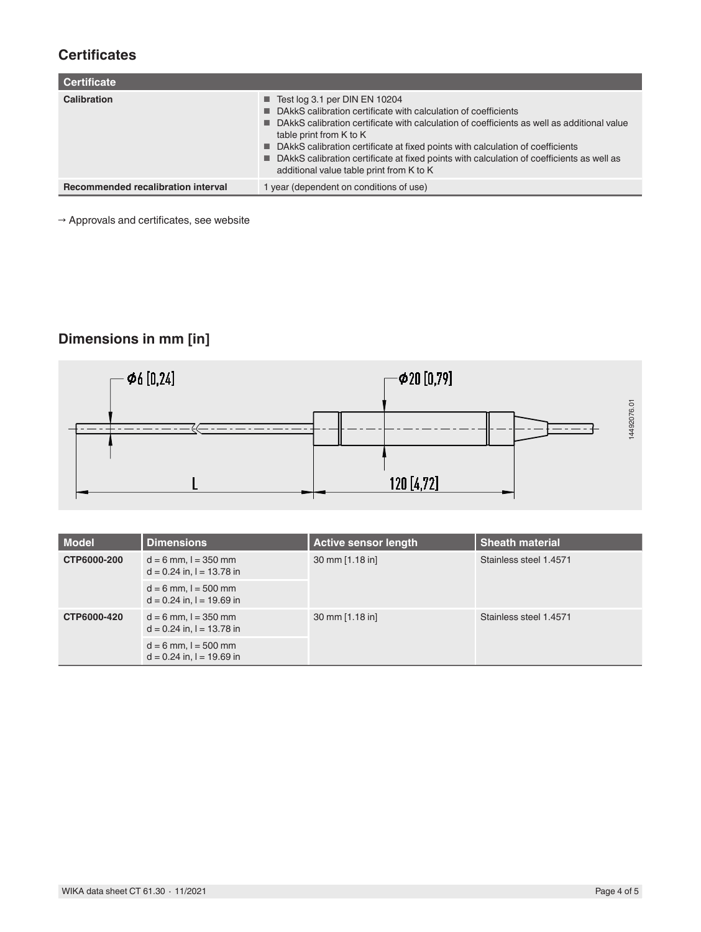## **Certificates**

| <b>Certificate</b>                        |                                                                                                                                                                                                                                                                                                                                                                                                                                                                            |  |
|-------------------------------------------|----------------------------------------------------------------------------------------------------------------------------------------------------------------------------------------------------------------------------------------------------------------------------------------------------------------------------------------------------------------------------------------------------------------------------------------------------------------------------|--|
| Calibration                               | $\blacksquare$ Test log 3.1 per DIN EN 10204<br>■ DAkkS calibration certificate with calculation of coefficients<br>■ DAkkS calibration certificate with calculation of coefficients as well as additional value<br>table print from K to K<br>■ DAkkS calibration certificate at fixed points with calculation of coefficients<br>■ DAkkS calibration certificate at fixed points with calculation of coefficients as well as<br>additional value table print from K to K |  |
| <b>Recommended recalibration interval</b> | 1 year (dependent on conditions of use)                                                                                                                                                                                                                                                                                                                                                                                                                                    |  |

 $\rightarrow$  Approvals and certificates, see website

# **Dimensions in mm [in]**



|                                    |                                                                                |                                                | 14492076.01                                      |
|------------------------------------|--------------------------------------------------------------------------------|------------------------------------------------|--------------------------------------------------|
|                                    |                                                                                | 120 [4,72]                                     |                                                  |
|                                    |                                                                                |                                                |                                                  |
| Model<br>CTP6000-200               | <b>Dimensions</b><br>$d = 6$ mm, $l = 350$ mm<br>$d = 0.24$ in, $l = 13.78$ in | <b>Active sensor length</b><br>30 mm [1.18 in] | <b>Sheath material</b><br>Stainless steel 1.4571 |
|                                    | $d = 6$ mm, $l = 500$ mm<br>$d = 0.24$ in, $l = 19.69$ in                      |                                                |                                                  |
| CTP6000-420                        | $d = 6$ mm, $l = 350$ mm<br>$d = 0.24$ in, $l = 13.78$ in                      | 30 mm [1.18 in]                                | Stainless steel 1.4571                           |
|                                    | $d = 6$ mm, $l = 500$ mm<br>$d = 0.24$ in, $l = 19.69$ in                      |                                                |                                                  |
|                                    |                                                                                |                                                |                                                  |
|                                    |                                                                                |                                                |                                                  |
|                                    |                                                                                |                                                |                                                  |
|                                    |                                                                                |                                                |                                                  |
|                                    |                                                                                |                                                |                                                  |
|                                    |                                                                                |                                                |                                                  |
|                                    |                                                                                |                                                |                                                  |
| WIKA data sheet CT 61.30 · 11/2021 |                                                                                |                                                | Page 4 of 5                                      |